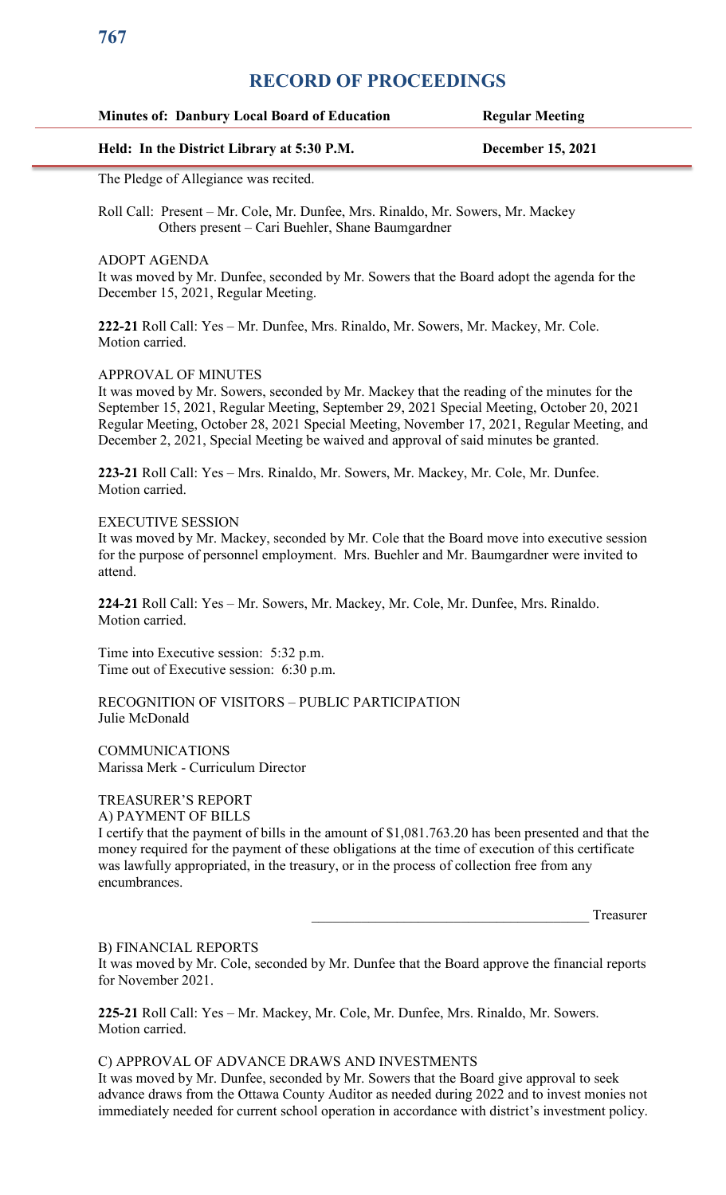## **Minutes of: Danbury Local Board of Education Regular Meeting**

## **Held: In the District Library at 5:30 P.M. December 15, 2021**

The Pledge of Allegiance was recited.

Roll Call: Present – Mr. Cole, Mr. Dunfee, Mrs. Rinaldo, Mr. Sowers, Mr. Mackey Others present – Cari Buehler, Shane Baumgardner

ADOPT AGENDA

It was moved by Mr. Dunfee, seconded by Mr. Sowers that the Board adopt the agenda for the December 15, 2021, Regular Meeting.

**222-21** Roll Call: Yes – Mr. Dunfee, Mrs. Rinaldo, Mr. Sowers, Mr. Mackey, Mr. Cole. Motion carried.

## APPROVAL OF MINUTES

It was moved by Mr. Sowers, seconded by Mr. Mackey that the reading of the minutes for the September 15, 2021, Regular Meeting, September 29, 2021 Special Meeting, October 20, 2021 Regular Meeting, October 28, 2021 Special Meeting, November 17, 2021, Regular Meeting, and December 2, 2021, Special Meeting be waived and approval of said minutes be granted.

**223-21** Roll Call: Yes – Mrs. Rinaldo, Mr. Sowers, Mr. Mackey, Mr. Cole, Mr. Dunfee. Motion carried.

#### EXECUTIVE SESSION

It was moved by Mr. Mackey, seconded by Mr. Cole that the Board move into executive session for the purpose of personnel employment. Mrs. Buehler and Mr. Baumgardner were invited to attend.

**224-21** Roll Call: Yes – Mr. Sowers, Mr. Mackey, Mr. Cole, Mr. Dunfee, Mrs. Rinaldo. Motion carried.

Time into Executive session: 5:32 p.m. Time out of Executive session: 6:30 p.m.

RECOGNITION OF VISITORS – PUBLIC PARTICIPATION Julie McDonald

**COMMUNICATIONS** Marissa Merk - Curriculum Director

#### TREASURER'S REPORT A) PAYMENT OF BILLS

I certify that the payment of bills in the amount of \$1,081.763.20 has been presented and that the money required for the payment of these obligations at the time of execution of this certificate was lawfully appropriated, in the treasury, or in the process of collection free from any encumbrances.

Treasurer

## B) FINANCIAL REPORTS

It was moved by Mr. Cole, seconded by Mr. Dunfee that the Board approve the financial reports for November 2021.

**225-21** Roll Call: Yes – Mr. Mackey, Mr. Cole, Mr. Dunfee, Mrs. Rinaldo, Mr. Sowers. Motion carried.

### C) APPROVAL OF ADVANCE DRAWS AND INVESTMENTS

It was moved by Mr. Dunfee, seconded by Mr. Sowers that the Board give approval to seek advance draws from the Ottawa County Auditor as needed during 2022 and to invest monies not immediately needed for current school operation in accordance with district's investment policy.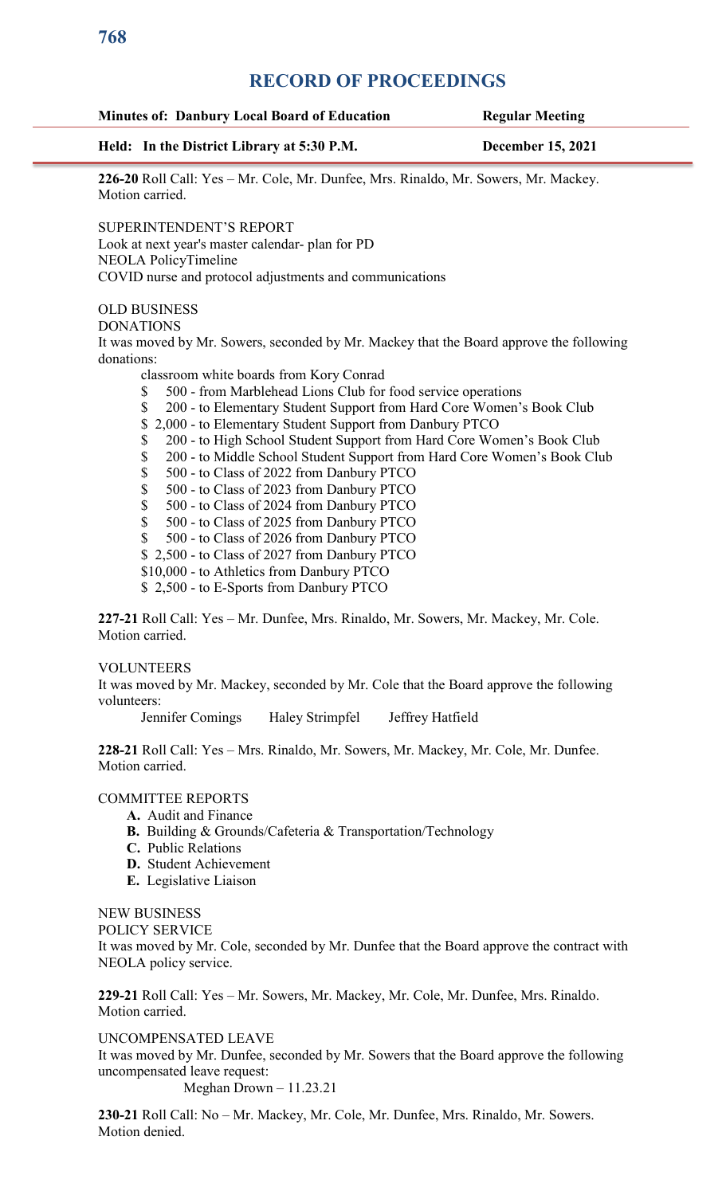| Held: In the District Library at 5:30 P.M.                                                       | <b>December 15, 2021</b> |
|--------------------------------------------------------------------------------------------------|--------------------------|
| 226-20 Roll Call: Yes - Mr. Cole, Mr. Dunfee, Mrs. Rinaldo, Mr. Sowers, Mr. Mackey.              |                          |
| Motion carried.                                                                                  |                          |
| SUPERINTENDENT'S REPORT                                                                          |                          |
| Look at next year's master calendar- plan for PD                                                 |                          |
| NEOLA PolicyTimeline                                                                             |                          |
| COVID nurse and protocol adjustments and communications                                          |                          |
| <b>OLD BUSINESS</b>                                                                              |                          |
| <b>DONATIONS</b>                                                                                 |                          |
| It was moved by Mr. Sowers, seconded by Mr. Mackey that the Board approve the following          |                          |
| donations:                                                                                       |                          |
| classroom white boards from Kory Conrad                                                          |                          |
| 500 - from Marblehead Lions Club for food service operations<br>\$                               |                          |
| \$<br>200 - to Elementary Student Support from Hard Core Women's Book Club                       |                          |
| 2,000 - to Elementary Student Support from Danbury PTCO<br>\$                                    |                          |
| 200 - to High School Student Support from Hard Core Women's Book Club<br>\$                      |                          |
| 200 - to Middle School Student Support from Hard Core Women's Book Club<br>\$                    |                          |
| \$<br>500 - to Class of 2022 from Danbury PTCO                                                   |                          |
| \$<br>500 - to Class of 2023 from Danbury PTCO                                                   |                          |
| \$<br>500 - to Class of 2024 from Danbury PTCO                                                   |                          |
| \$<br>500 - to Class of 2025 from Danbury PTCO<br>\$<br>500 - to Class of 2026 from Danbury PTCO |                          |
| \$2,500 - to Class of 2027 from Danbury PTCO                                                     |                          |
| \$10,000 - to Athletics from Danbury PTCO                                                        |                          |
| \$2,500 - to E-Sports from Danbury PTCO                                                          |                          |
|                                                                                                  |                          |

#### VOLUNTEERS

It was moved by Mr. Mackey, seconded by Mr. Cole that the Board approve the following volunteers:

Jennifer Comings Haley Strimpfel Jeffrey Hatfield

**228-21** Roll Call: Yes – Mrs. Rinaldo, Mr. Sowers, Mr. Mackey, Mr. Cole, Mr. Dunfee. Motion carried.

## COMMITTEE REPORTS

- **A.** Audit and Finance
- **B.** Building & Grounds/Cafeteria & Transportation/Technology
- **C.** Public Relations
- **D.** Student Achievement
- **E.** Legislative Liaison

## NEW BUSINESS

POLICY SERVICE

It was moved by Mr. Cole, seconded by Mr. Dunfee that the Board approve the contract with NEOLA policy service.

**229-21** Roll Call: Yes – Mr. Sowers, Mr. Mackey, Mr. Cole, Mr. Dunfee, Mrs. Rinaldo. Motion carried.

#### UNCOMPENSATED LEAVE

It was moved by Mr. Dunfee, seconded by Mr. Sowers that the Board approve the following uncompensated leave request:

Meghan Drown – 11.23.21

**230-21** Roll Call: No – Mr. Mackey, Mr. Cole, Mr. Dunfee, Mrs. Rinaldo, Mr. Sowers. Motion denied.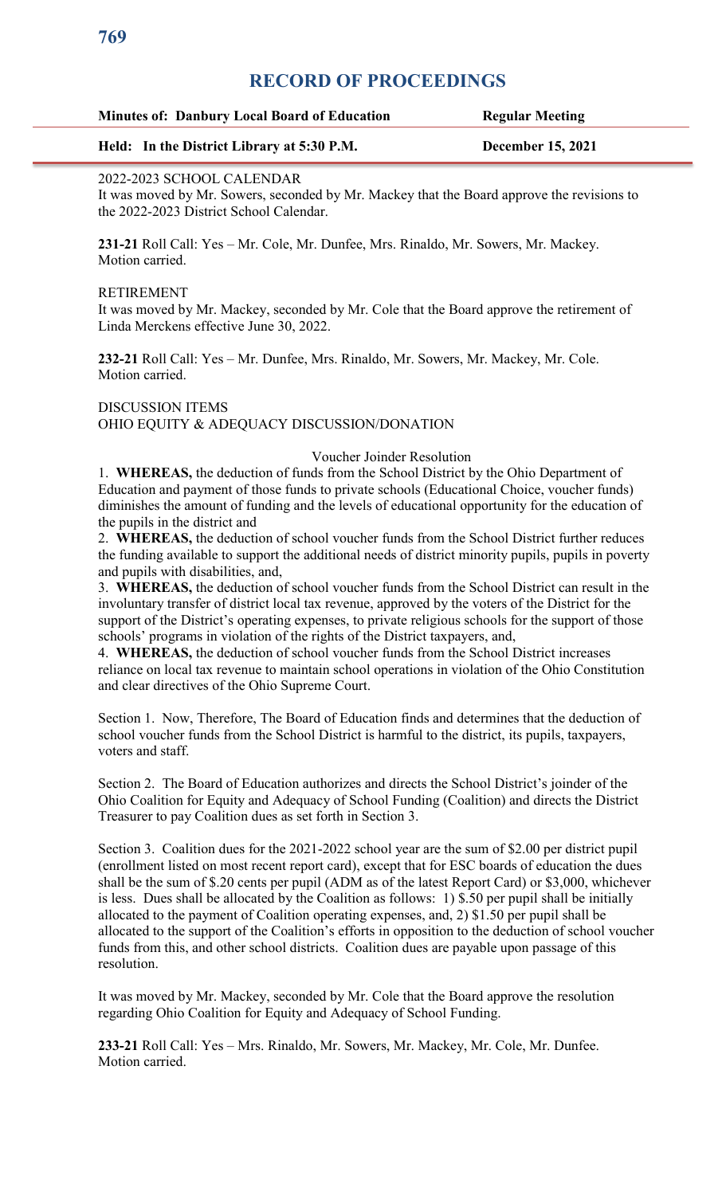| <b>Minutes of: Danbury Local Board of Education</b> | <b>Regular Meeting</b>   |
|-----------------------------------------------------|--------------------------|
| Held: In the District Library at 5:30 P.M.          | <b>December 15, 2021</b> |

## 2022-2023 SCHOOL CALENDAR

It was moved by Mr. Sowers, seconded by Mr. Mackey that the Board approve the revisions to the 2022-2023 District School Calendar.

**231-21** Roll Call: Yes – Mr. Cole, Mr. Dunfee, Mrs. Rinaldo, Mr. Sowers, Mr. Mackey. Motion carried.

## RETIREMENT

It was moved by Mr. Mackey, seconded by Mr. Cole that the Board approve the retirement of Linda Merckens effective June 30, 2022.

**232-21** Roll Call: Yes – Mr. Dunfee, Mrs. Rinaldo, Mr. Sowers, Mr. Mackey, Mr. Cole. Motion carried.

DISCUSSION ITEMS OHIO EQUITY & ADEQUACY DISCUSSION/DONATION

## Voucher Joinder Resolution

1. **WHEREAS,** the deduction of funds from the School District by the Ohio Department of Education and payment of those funds to private schools (Educational Choice, voucher funds) diminishes the amount of funding and the levels of educational opportunity for the education of the pupils in the district and

2. **WHEREAS,** the deduction of school voucher funds from the School District further reduces the funding available to support the additional needs of district minority pupils, pupils in poverty and pupils with disabilities, and,

3. **WHEREAS,** the deduction of school voucher funds from the School District can result in the involuntary transfer of district local tax revenue, approved by the voters of the District for the support of the District's operating expenses, to private religious schools for the support of those schools' programs in violation of the rights of the District taxpayers, and,

4. **WHEREAS,** the deduction of school voucher funds from the School District increases reliance on local tax revenue to maintain school operations in violation of the Ohio Constitution and clear directives of the Ohio Supreme Court.

Section 1. Now, Therefore, The Board of Education finds and determines that the deduction of school voucher funds from the School District is harmful to the district, its pupils, taxpayers, voters and staff.

Section 2. The Board of Education authorizes and directs the School District's joinder of the Ohio Coalition for Equity and Adequacy of School Funding (Coalition) and directs the District Treasurer to pay Coalition dues as set forth in Section 3.

Section 3. Coalition dues for the 2021-2022 school year are the sum of \$2.00 per district pupil (enrollment listed on most recent report card), except that for ESC boards of education the dues shall be the sum of \$.20 cents per pupil (ADM as of the latest Report Card) or \$3,000, whichever is less. Dues shall be allocated by the Coalition as follows: 1) \$.50 per pupil shall be initially allocated to the payment of Coalition operating expenses, and, 2) \$1.50 per pupil shall be allocated to the support of the Coalition's efforts in opposition to the deduction of school voucher funds from this, and other school districts. Coalition dues are payable upon passage of this resolution.

It was moved by Mr. Mackey, seconded by Mr. Cole that the Board approve the resolution regarding Ohio Coalition for Equity and Adequacy of School Funding.

**233-21** Roll Call: Yes – Mrs. Rinaldo, Mr. Sowers, Mr. Mackey, Mr. Cole, Mr. Dunfee. Motion carried.